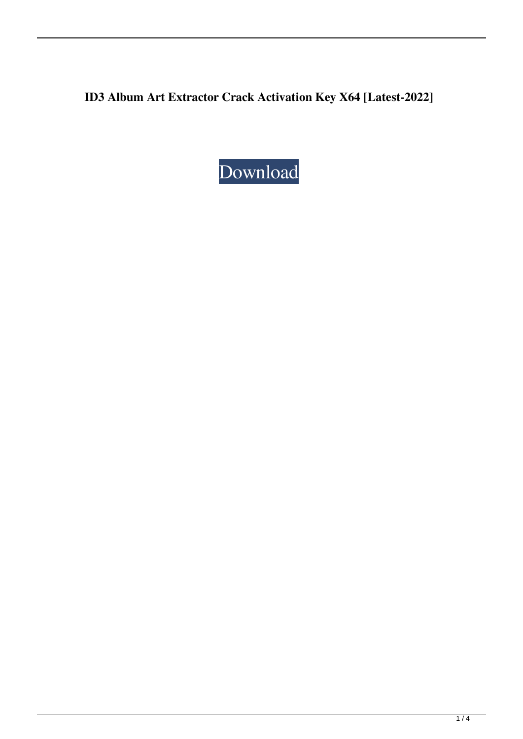**ID3 Album Art Extractor Crack Activation Key X64 [Latest-2022]**

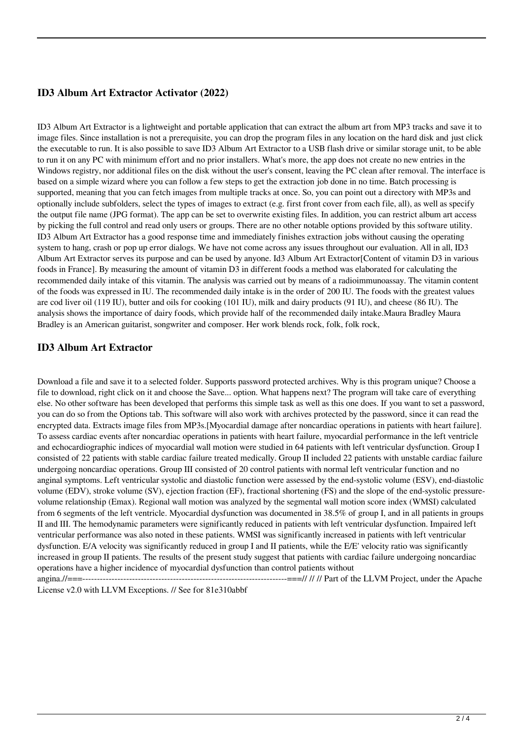# **ID3 Album Art Extractor Activator (2022)**

ID3 Album Art Extractor is a lightweight and portable application that can extract the album art from MP3 tracks and save it to image files. Since installation is not a prerequisite, you can drop the program files in any location on the hard disk and just click the executable to run. It is also possible to save ID3 Album Art Extractor to a USB flash drive or similar storage unit, to be able to run it on any PC with minimum effort and no prior installers. What's more, the app does not create no new entries in the Windows registry, nor additional files on the disk without the user's consent, leaving the PC clean after removal. The interface is based on a simple wizard where you can follow a few steps to get the extraction job done in no time. Batch processing is supported, meaning that you can fetch images from multiple tracks at once. So, you can point out a directory with MP3s and optionally include subfolders, select the types of images to extract (e.g. first front cover from each file, all), as well as specify the output file name (JPG format). The app can be set to overwrite existing files. In addition, you can restrict album art access by picking the full control and read only users or groups. There are no other notable options provided by this software utility. ID3 Album Art Extractor has a good response time and immediately finishes extraction jobs without causing the operating system to hang, crash or pop up error dialogs. We have not come across any issues throughout our evaluation. All in all, ID3 Album Art Extractor serves its purpose and can be used by anyone. Id3 Album Art Extractor[Content of vitamin D3 in various foods in France]. By measuring the amount of vitamin D3 in different foods a method was elaborated for calculating the recommended daily intake of this vitamin. The analysis was carried out by means of a radioimmunoassay. The vitamin content of the foods was expressed in IU. The recommended daily intake is in the order of 200 IU. The foods with the greatest values are cod liver oil (119 IU), butter and oils for cooking (101 IU), milk and dairy products (91 IU), and cheese (86 IU). The analysis shows the importance of dairy foods, which provide half of the recommended daily intake.Maura Bradley Maura Bradley is an American guitarist, songwriter and composer. Her work blends rock, folk, folk rock,

## **ID3 Album Art Extractor**

Download a file and save it to a selected folder. Supports password protected archives. Why is this program unique? Choose a file to download, right click on it and choose the Save... option. What happens next? The program will take care of everything else. No other software has been developed that performs this simple task as well as this one does. If you want to set a password, you can do so from the Options tab. This software will also work with archives protected by the password, since it can read the encrypted data. Extracts image files from MP3s.[Myocardial damage after noncardiac operations in patients with heart failure]. To assess cardiac events after noncardiac operations in patients with heart failure, myocardial performance in the left ventricle and echocardiographic indices of myocardial wall motion were studied in 64 patients with left ventricular dysfunction. Group I consisted of 22 patients with stable cardiac failure treated medically. Group II included 22 patients with unstable cardiac failure undergoing noncardiac operations. Group III consisted of 20 control patients with normal left ventricular function and no anginal symptoms. Left ventricular systolic and diastolic function were assessed by the end-systolic volume (ESV), end-diastolic volume (EDV), stroke volume (SV), ejection fraction (EF), fractional shortening (FS) and the slope of the end-systolic pressurevolume relationship (Emax). Regional wall motion was analyzed by the segmental wall motion score index (WMSI) calculated from 6 segments of the left ventricle. Myocardial dysfunction was documented in 38.5% of group I, and in all patients in groups II and III. The hemodynamic parameters were significantly reduced in patients with left ventricular dysfunction. Impaired left ventricular performance was also noted in these patients. WMSI was significantly increased in patients with left ventricular dysfunction. E/A velocity was significantly reduced in group I and II patients, while the E/E' velocity ratio was significantly increased in group II patients. The results of the present study suggest that patients with cardiac failure undergoing noncardiac operations have a higher incidence of myocardial dysfunction than control patients without

angina.//===----------------------------------------------------------------------===// // // Part of the LLVM Project, under the Apache License v2.0 with LLVM Exceptions. // See for 81e310abbf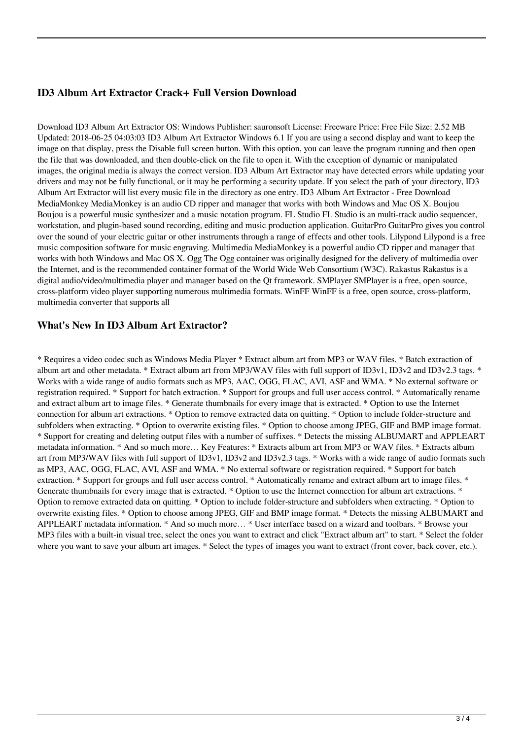# **ID3 Album Art Extractor Crack+ Full Version Download**

Download ID3 Album Art Extractor OS: Windows Publisher: sauronsoft License: Freeware Price: Free File Size: 2.52 MB Updated: 2018-06-25 04:03:03 ID3 Album Art Extractor Windows 6.1 If you are using a second display and want to keep the image on that display, press the Disable full screen button. With this option, you can leave the program running and then open the file that was downloaded, and then double-click on the file to open it. With the exception of dynamic or manipulated images, the original media is always the correct version. ID3 Album Art Extractor may have detected errors while updating your drivers and may not be fully functional, or it may be performing a security update. If you select the path of your directory, ID3 Album Art Extractor will list every music file in the directory as one entry. ID3 Album Art Extractor - Free Download MediaMonkey MediaMonkey is an audio CD ripper and manager that works with both Windows and Mac OS X. Boujou Boujou is a powerful music synthesizer and a music notation program. FL Studio FL Studio is an multi-track audio sequencer, workstation, and plugin-based sound recording, editing and music production application. GuitarPro GuitarPro gives you control over the sound of your electric guitar or other instruments through a range of effects and other tools. Lilypond Lilypond is a free music composition software for music engraving. Multimedia MediaMonkey is a powerful audio CD ripper and manager that works with both Windows and Mac OS X. Ogg The Ogg container was originally designed for the delivery of multimedia over the Internet, and is the recommended container format of the World Wide Web Consortium (W3C). Rakastus Rakastus is a digital audio/video/multimedia player and manager based on the Qt framework. SMPlayer SMPlayer is a free, open source, cross-platform video player supporting numerous multimedia formats. WinFF WinFF is a free, open source, cross-platform, multimedia converter that supports all

## **What's New In ID3 Album Art Extractor?**

\* Requires a video codec such as Windows Media Player \* Extract album art from MP3 or WAV files. \* Batch extraction of album art and other metadata. \* Extract album art from MP3/WAV files with full support of ID3v1, ID3v2 and ID3v2.3 tags. \* Works with a wide range of audio formats such as MP3, AAC, OGG, FLAC, AVI, ASF and WMA. \* No external software or registration required. \* Support for batch extraction. \* Support for groups and full user access control. \* Automatically rename and extract album art to image files. \* Generate thumbnails for every image that is extracted. \* Option to use the Internet connection for album art extractions. \* Option to remove extracted data on quitting. \* Option to include folder-structure and subfolders when extracting. \* Option to overwrite existing files. \* Option to choose among JPEG, GIF and BMP image format. \* Support for creating and deleting output files with a number of suffixes. \* Detects the missing ALBUMART and APPLEART metadata information. \* And so much more… Key Features: \* Extracts album art from MP3 or WAV files. \* Extracts album art from MP3/WAV files with full support of ID3v1, ID3v2 and ID3v2.3 tags. \* Works with a wide range of audio formats such as MP3, AAC, OGG, FLAC, AVI, ASF and WMA. \* No external software or registration required. \* Support for batch extraction. \* Support for groups and full user access control. \* Automatically rename and extract album art to image files. \* Generate thumbnails for every image that is extracted. \* Option to use the Internet connection for album art extractions. \* Option to remove extracted data on quitting. \* Option to include folder-structure and subfolders when extracting. \* Option to overwrite existing files. \* Option to choose among JPEG, GIF and BMP image format. \* Detects the missing ALBUMART and APPLEART metadata information. \* And so much more… \* User interface based on a wizard and toolbars. \* Browse your MP3 files with a built-in visual tree, select the ones you want to extract and click "Extract album art" to start. \* Select the folder where you want to save your album art images. \* Select the types of images you want to extract (front cover, back cover, etc.).